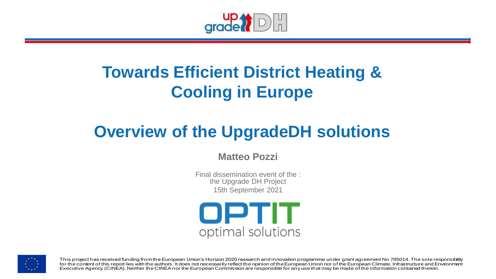

# **Towards Efficient District Heating & Cooling in Europe**

# **Overview of the UpgradeDH solutions**

#### **Matteo Pozzi**

Final dissemination event of the : the Upgrade DH Project 15th September 2021





This project has received funding from the European Union's Horizon 2020 research and innovation programme under grant agreement No 785014. The sole responsibility for the content of this report lies with the authors. It does not necessarily reflect the opinion of the European Union nor of the European Climate, Infrastructure and Environment Executive Agency (CINEA). Neither the CINEA nor the European Commission are responsible for any use that may be made of the information contained therein.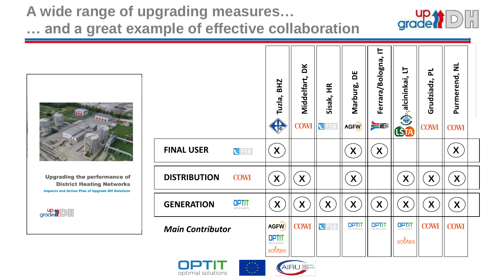### **A wide range of upgrading measures… … and a great example of effective collaboration**







 $\mathsf{grade}$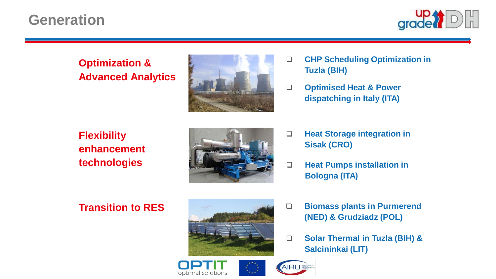## **Generation**



### **Optimization & Advanced Analytics**



- ❑ **CHP Scheduling Optimization in Tuzla (BIH)**
- ❑ **Optimised Heat & Power dispatching in Italy (ITA)**

### **Flexibility enhancement technologies**



- ❑ **Heat Storage integration in Sisak (CRO)**
- ❑ **Heat Pumps installation in Bologna (ITA)**

### **Transition to RES**



- ❑ **Biomass plants in Purmerend (NED) & Grudziadz (POL)**
- ❑ **Solar Thermal in Tuzla (BIH) & Salcininkai (LIT)**



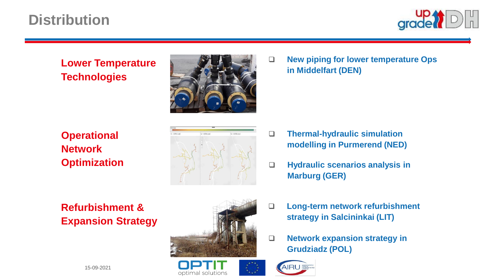# **Distribution**



#### **Lower Temperature Technologies**



❑ **New piping for lower temperature Ops in Middelfart (DEN)**

**Operational Network Optimization**

**Refurbishment & Expansion Strategy**



- ❑ **Thermal-hydraulic simulation modelling in Purmerend (NED)**
- ❑ **Hydraulic scenarios analysis in Marburg (GER)**



optimal solutions

- ❑ **Long-term network refurbishment strategy in Salcininkai (LIT)**
- ❑ **Network expansion strategy in Grudziadz (POL)**

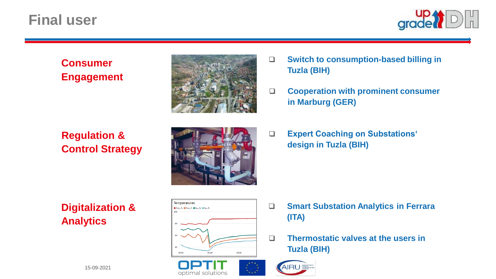### **Final user**



#### **Consumer Engagement**

### **Regulation & Control Strategy**



- ❑ **Switch to consumption-based billing in Tuzla (BIH)**
- ❑ **Cooperation with prominent consumer in Marburg (GER)**
- ❑ **Expert Coaching on Substations' design in Tuzla (BIH)**

**Digitalization & Analytics**



- ❑ **Smart Substation Analytics in Ferrara (ITA)**
- ❑ **Thermostatic valves at the users in Tuzla (BIH)**





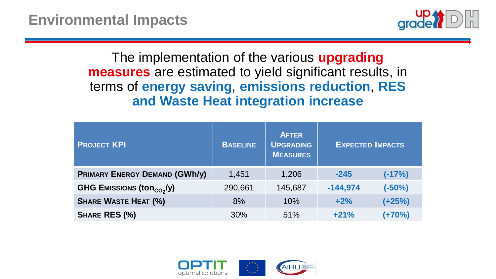

### The implementation of the various **upgrading measures** are estimated to yield significant results, in terms of **energy saving**, **emissions reduction**, **RES and Waste Heat integration increase**

| <b>PROJECT KPI</b>                    | <b>BASELINE</b> | <b>AFTER</b><br><b>UPGRADING</b><br><b>MEASURES</b> | <b>EXPECTED IMPACTS</b> |          |
|---------------------------------------|-----------------|-----------------------------------------------------|-------------------------|----------|
| <b>PRIMARY ENERGY DEMAND (GWh/y)</b>  | 1,451           | 1,206                                               | $-245$                  | $(-17%)$ |
| GHG EMISSIONS (ton <sub>CO2</sub> /y) | 290,661         | 145,687                                             | $-144,974$              | $(-50%)$ |
| <b>SHARE WASTE HEAT (%)</b>           | 8%              | 10%                                                 | $+2%$                   | $(+25%)$ |
| SHARE RES (%)                         | 30%             | 51%                                                 | $+21%$                  | $(+70%)$ |

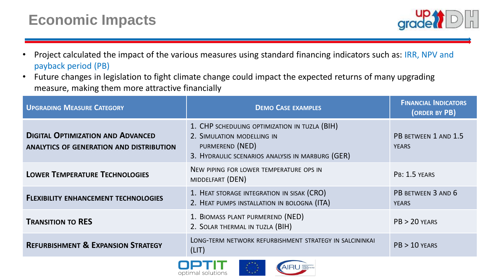# **Economic Impacts**



- Project calculated the impact of the various measures using standard financing indicators such as: IRR, NPV and payback period (PB)
- Future changes in legislation to fight climate change could impact the expected returns of many upgrading measure, making them more attractive financially

| <b>DEMO CASE EXAMPLES</b>                                                                                                                          | <b>FINANCIAL INDICATORS</b><br>(ORDER BY PB) |
|----------------------------------------------------------------------------------------------------------------------------------------------------|----------------------------------------------|
| 1. CHP SCHEDULING OPTIMIZATION IN TUZLA (BIH)<br>2. SIMULATION MODELLING IN<br>PURMEREND (NED)<br>3. HYDRAULIC SCENARIOS ANALYSIS IN MARBURG (GER) | PB BETWEEN 1 AND 1.5<br><b>YEARS</b>         |
| NEW PIPING FOR LOWER TEMPERATURE OPS IN<br>MIDDELFART (DEN)                                                                                        | PB: 1.5 YEARS                                |
| 1. HEAT STORAGE INTEGRATION IN SISAK (CRO)<br>2. HEAT PUMPS INSTALLATION IN BOLOGNA (ITA)                                                          | PB BETWEEN 3 AND 6<br><b>YEARS</b>           |
| 1. BIOMASS PLANT PURMEREND (NED)<br>2. SOLAR THERMAL IN TUZLA (BIH)                                                                                | $PB > 20$ YEARS                              |
| LONG-TERM NETWORK REFURBISHMENT STRATEGY IN SALCININKAI<br>(LIT)                                                                                   | $PB > 10$ YEARS                              |
|                                                                                                                                                    |                                              |



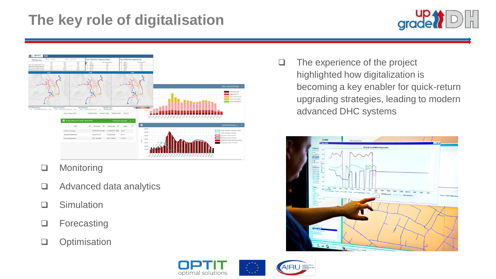# **The key role of digitalisation**





- ❑ Monitoring
- ❑ Advanced data analytics
- ❑ Simulation
- ❑ Forecasting
- ❑ Optimisation

❑ The experience of the project highlighted how digitalization is becoming a key enabler for quick-return upgrading strategies, leading to modern advanced DHC systems